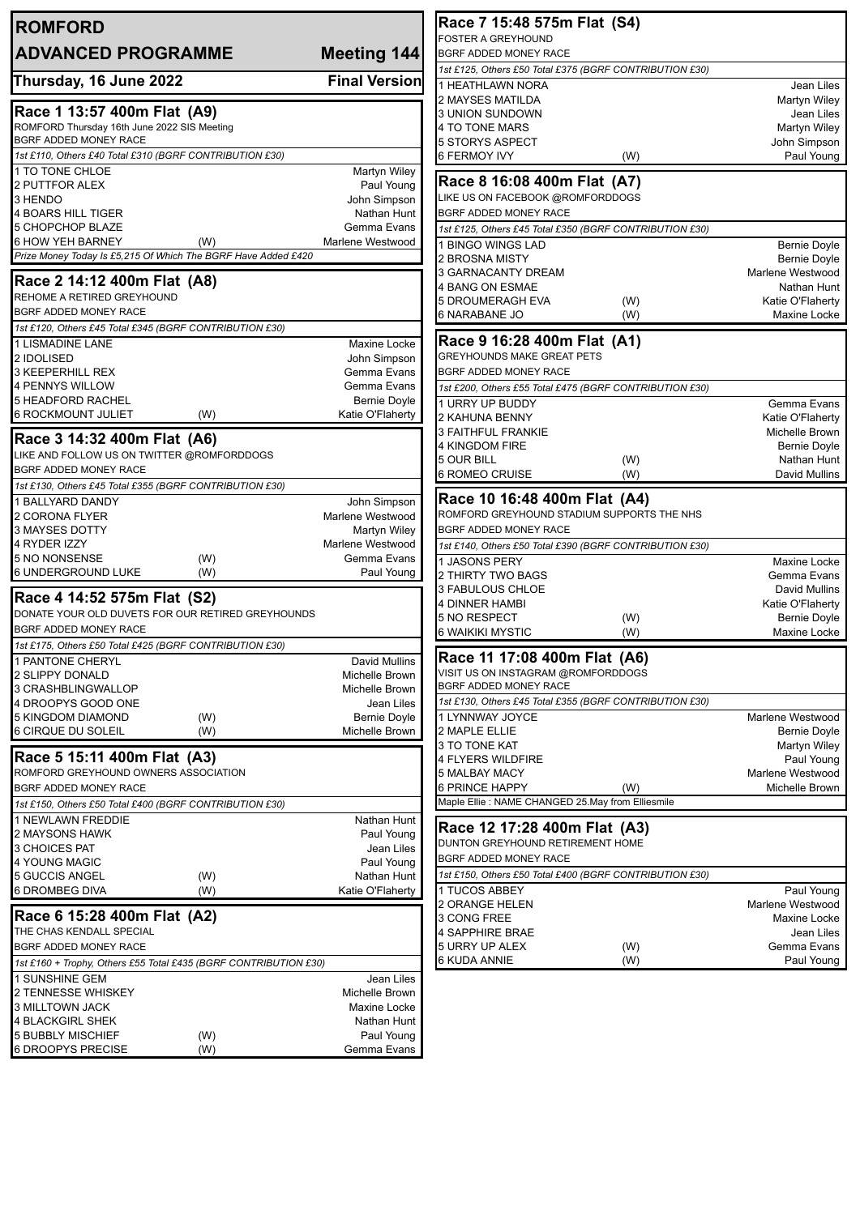| <b>ROMFORD</b>                                                                                   |                                  | Race 7 15:48 575m Flat (S4)                             |            |                                         |
|--------------------------------------------------------------------------------------------------|----------------------------------|---------------------------------------------------------|------------|-----------------------------------------|
| <b>ADVANCED PROGRAMME</b>                                                                        | Meeting 144                      | <b>FOSTER A GREYHOUND</b><br>BGRF ADDED MONEY RACE      |            |                                         |
|                                                                                                  |                                  | 1st £125, Others £50 Total £375 (BGRF CONTRIBUTION £30) |            |                                         |
| Thursday, 16 June 2022                                                                           | <b>Final Version</b>             | 1 HEATHLAWN NORA                                        |            | Jean Liles                              |
|                                                                                                  |                                  | 2 MAYSES MATILDA                                        |            | Martyn Wiley                            |
| Race 1 13:57 400m Flat (A9)                                                                      |                                  | 3 UNION SUNDOWN                                         |            | Jean Liles                              |
| ROMFORD Thursday 16th June 2022 SIS Meeting                                                      |                                  | 4 TO TONE MARS                                          |            | Martyn Wiley                            |
| BGRF ADDED MONEY RACE<br>1st £110, Others £40 Total £310 (BGRF CONTRIBUTION £30)                 |                                  | 5 STORYS ASPECT                                         |            | John Simpson                            |
| 1 TO TONE CHLOE                                                                                  | Martyn Wiley                     | <b>6 FERMOY IVY</b>                                     | (W)        | Paul Young                              |
| 2 PUTTFOR ALEX                                                                                   | Paul Young                       | Race 8 16:08 400m Flat (A7)                             |            |                                         |
| 3 HENDO                                                                                          | John Simpson                     | LIKE US ON FACEBOOK @ROMFORDDOGS                        |            |                                         |
| <b>4 BOARS HILL TIGER</b>                                                                        | Nathan Hunt                      | BGRF ADDED MONEY RACE                                   |            |                                         |
| 5 CHOPCHOP BLAZE                                                                                 | Gemma Evans                      | 1st £125, Others £45 Total £350 (BGRF CONTRIBUTION £30) |            |                                         |
| <b>6 HOW YEH BARNEY</b><br>(W)<br>Prize Money Today Is £5, 215 Of Which The BGRF Have Added £420 | Marlene Westwood                 | I BINGO WINGS LAD                                       |            | <b>Bernie Doyle</b>                     |
|                                                                                                  |                                  | 2 BROSNA MISTY                                          |            | <b>Bernie Doyle</b><br>Marlene Westwood |
| Race 2 14:12 400m Flat (A8)                                                                      |                                  | 3 GARNACANTY DREAM<br>4 BANG ON ESMAE                   |            | Nathan Hunt                             |
| REHOME A RETIRED GREYHOUND                                                                       |                                  | <b>5 DROUMERAGH EVA</b>                                 | (W)        | Katie O'Flaherty                        |
| <b>BGRF ADDED MONEY RACE</b>                                                                     |                                  | 6 NARABANE JO                                           | (W)        | Maxine Locke                            |
| 1st £120, Others £45 Total £345 (BGRF CONTRIBUTION £30)                                          |                                  |                                                         |            |                                         |
| 1 LISMADINE LANE                                                                                 | Maxine Locke                     | Race 9 16:28 400m Flat (A1)                             |            |                                         |
| 2 IDOLISED                                                                                       | John Simpson                     | <b>GREYHOUNDS MAKE GREAT PETS</b>                       |            |                                         |
| <b>3 KEEPERHILL REX</b>                                                                          | Gemma Evans<br>Gemma Evans       | BGRF ADDED MONEY RACE                                   |            |                                         |
| 4 PENNYS WILLOW<br><b>5 HEADFORD RACHEL</b>                                                      | <b>Bernie Doyle</b>              | 1st £200, Others £55 Total £475 (BGRF CONTRIBUTION £30) |            |                                         |
| <b>6 ROCKMOUNT JULIET</b><br>(W)                                                                 | Katie O'Flaherty                 | 1 URRY UP BUDDY<br>2 KAHUNA BENNY                       |            | Gemma Evans<br>Katie O'Flaherty         |
|                                                                                                  |                                  | <b>3 FAITHFUL FRANKIE</b>                               |            | Michelle Brown                          |
| Race 3 14:32 400m Flat (A6)                                                                      |                                  | 4 KINGDOM FIRE                                          |            | <b>Bernie Doyle</b>                     |
| LIKE AND FOLLOW US ON TWITTER @ROMFORDDOGS                                                       |                                  | 5 OUR BILL                                              | (W)        | Nathan Hunt                             |
| BGRF ADDED MONEY RACE                                                                            |                                  | <b>6 ROMEO CRUISE</b>                                   | (W)        | David Mullins                           |
| 1st £130, Others £45 Total £355 (BGRF CONTRIBUTION £30)                                          |                                  | Race 10 16:48 400m Flat (A4)                            |            |                                         |
| 1 BALLYARD DANDY<br>2 CORONA FLYER                                                               | John Simpson<br>Marlene Westwood | ROMFORD GREYHOUND STADIUM SUPPORTS THE NHS              |            |                                         |
| 3 MAYSES DOTTY                                                                                   | Martyn Wiley                     | BGRF ADDED MONEY RACE                                   |            |                                         |
| 4 RYDER IZZY                                                                                     | Marlene Westwood                 | 1st £140, Others £50 Total £390 (BGRF CONTRIBUTION £30) |            |                                         |
| 5 NO NONSENSE<br>(W)                                                                             | Gemma Evans                      | 1 JASONS PERY                                           |            | Maxine Locke                            |
| 6 UNDERGROUND LUKE<br>(W)                                                                        | Paul Young                       | 2 THIRTY TWO BAGS                                       |            | Gemma Evans                             |
| Race 4 14:52 575m Flat (S2)                                                                      |                                  | 3 FABULOUS CHLOE                                        |            | David Mullins                           |
| DONATE YOUR OLD DUVETS FOR OUR RETIRED GREYHOUNDS                                                |                                  | <b>4 DINNER HAMBI</b>                                   |            | Katie O'Flaherty                        |
| BGRF ADDED MONEY RACE                                                                            |                                  | 5 NO RESPECT<br>6 WAIKIKI MYSTIC                        | (W)<br>(W) | <b>Bernie Doyle</b><br>Maxine Locke     |
| 1st £175, Others £50 Total £425 (BGRF CONTRIBUTION £30)                                          |                                  |                                                         |            |                                         |
| 1 PANTONE CHERYL                                                                                 | David Mullins                    | Race 11 17:08 400m Flat (A6)                            |            |                                         |
| 2 SLIPPY DONALD                                                                                  | Michelle Brown                   | VISIT US ON INSTAGRAM @ROMFORDDOGS                      |            |                                         |
| 3 CRASHBLINGWALLOP                                                                               | Michelle Brown                   | BGRF ADDED MONEY RACE                                   |            |                                         |
| 4 DROOPYS GOOD ONE                                                                               | Jean Liles                       | 1st £130, Others £45 Total £355 (BGRF CONTRIBUTION £30) |            |                                         |
| <b>5 KINGDOM DIAMOND</b><br>(W)                                                                  | <b>Bernie Doyle</b>              | 1 LYNNWAY JOYCE                                         |            | Marlene Westwood                        |
| <b>6 CIRQUE DU SOLEIL</b><br>(W)                                                                 | Michelle Brown                   | 2 MAPLE ELLIE<br>3 TO TONE KAT                          |            | <b>Bernie Doyle</b><br>Martyn Wiley     |
| Race 5 15:11 400m Flat (A3)                                                                      |                                  | 4 FLYERS WILDFIRE                                       |            | Paul Young                              |
| ROMFORD GREYHOUND OWNERS ASSOCIATION                                                             |                                  | 5 MALBAY MACY                                           |            | Marlene Westwood                        |
| BGRF ADDED MONEY RACE                                                                            |                                  | <b>6 PRINCE HAPPY</b>                                   | (W)        | Michelle Brown                          |
| 1st £150, Others £50 Total £400 (BGRF CONTRIBUTION £30)                                          |                                  | Maple Ellie : NAME CHANGED 25.May from Elliesmile       |            |                                         |
| 1 NEWLAWN FREDDIE                                                                                | Nathan Hunt                      | Race 12 17:28 400m Flat (A3)                            |            |                                         |
| 2 MAYSONS HAWK                                                                                   | Paul Young                       | DUNTON GREYHOUND RETIREMENT HOME                        |            |                                         |
| 3 CHOICES PAT                                                                                    | Jean Liles                       | BGRF ADDED MONEY RACE                                   |            |                                         |
| 4 YOUNG MAGIC<br>5 GUCCIS ANGEL<br>(W)                                                           | Paul Young<br>Nathan Hunt        | 1st £150, Others £50 Total £400 (BGRF CONTRIBUTION £30) |            |                                         |
| <b>6 DROMBEG DIVA</b><br>(W)                                                                     | Katie O'Flaherty                 | 1 TUCOS ABBEY                                           |            | Paul Young                              |
|                                                                                                  |                                  | 2 ORANGE HELEN                                          |            | Marlene Westwood                        |
| Race 6 15:28 400m Flat (A2)                                                                      |                                  | 3 CONG FREE                                             |            | Maxine Locke                            |
| THE CHAS KENDALL SPECIAL                                                                         |                                  | <b>4 SAPPHIRE BRAE</b>                                  |            | Jean Liles                              |
| BGRF ADDED MONEY RACE                                                                            |                                  | 5 URRY UP ALEX                                          | (W)        | Gemma Evans                             |
| 1st £160 + Trophy, Others £55 Total £435 (BGRF CONTRIBUTION £30)                                 |                                  | 6 KUDA ANNIE                                            | (W)        | Paul Young                              |
| 1 SUNSHINE GEM                                                                                   | Jean Liles<br>Michelle Brown     |                                                         |            |                                         |
| 2 TENNESSE WHISKEY<br>3 MILLTOWN JACK                                                            | Maxine Locke                     |                                                         |            |                                         |
| <b>4 BLACKGIRL SHEK</b>                                                                          | Nathan Hunt                      |                                                         |            |                                         |
| <b>5 BUBBLY MISCHIEF</b><br>(W)                                                                  | Paul Young                       |                                                         |            |                                         |
| <b>6 DROOPYS PRECISE</b><br>(W)                                                                  | Gemma Evans                      |                                                         |            |                                         |